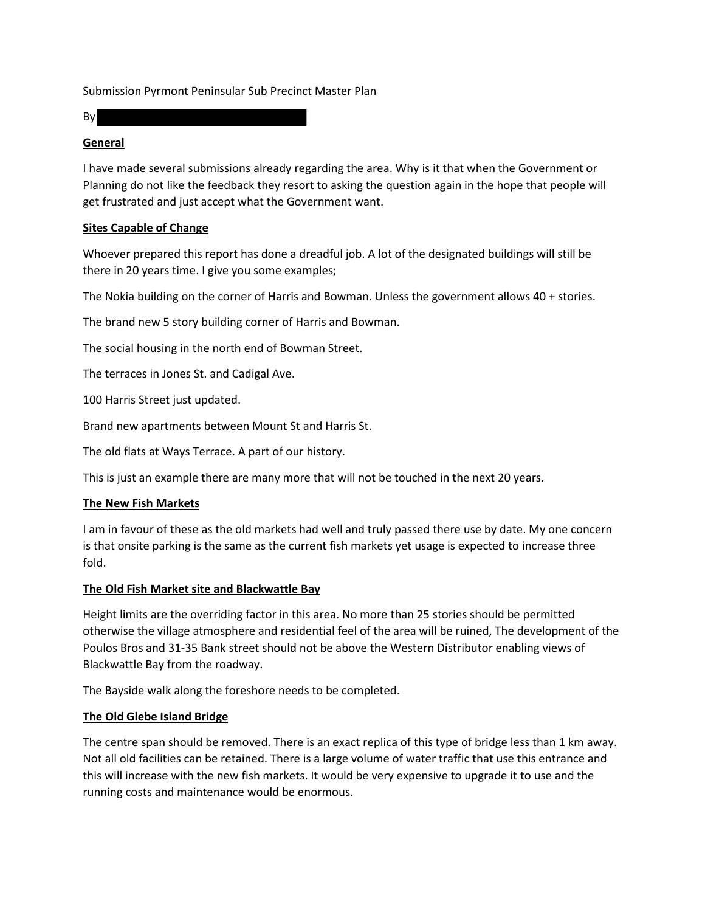Submission Pyrmont Peninsular Sub Precinct Master Plan

By

## **General**

I have made several submissions already regarding the area. Why is it that when the Government or Planning do not like the feedback they resort to asking the question again in the hope that people will get frustrated and just accept what the Government want.

# **Sites Capable of Change**

Whoever prepared this report has done a dreadful job. A lot of the designated buildings will still be there in 20 years time. I give you some examples;

The Nokia building on the corner of Harris and Bowman. Unless the government allows 40 + stories.

The brand new 5 story building corner of Harris and Bowman.

The social housing in the north end of Bowman Street.

The terraces in Jones St. and Cadigal Ave.

100 Harris Street just updated.

Brand new apartments between Mount St and Harris St.

The old flats at Ways Terrace. A part of our history.

This is just an example there are many more that will not be touched in the next 20 years.

### **The New Fish Markets**

I am in favour of these as the old markets had well and truly passed there use by date. My one concern is that onsite parking is the same as the current fish markets yet usage is expected to increase three fold.

### **The Old Fish Market site and Blackwattle Bay**

Height limits are the overriding factor in this area. No more than 25 stories should be permitted otherwise the village atmosphere and residential feel of the area will be ruined, The development of the Poulos Bros and 31-35 Bank street should not be above the Western Distributor enabling views of Blackwattle Bay from the roadway.

The Bayside walk along the foreshore needs to be completed.

# **The Old Glebe Island Bridge**

The centre span should be removed. There is an exact replica of this type of bridge less than 1 km away. Not all old facilities can be retained. There is a large volume of water traffic that use this entrance and this will increase with the new fish markets. It would be very expensive to upgrade it to use and the running costs and maintenance would be enormous.